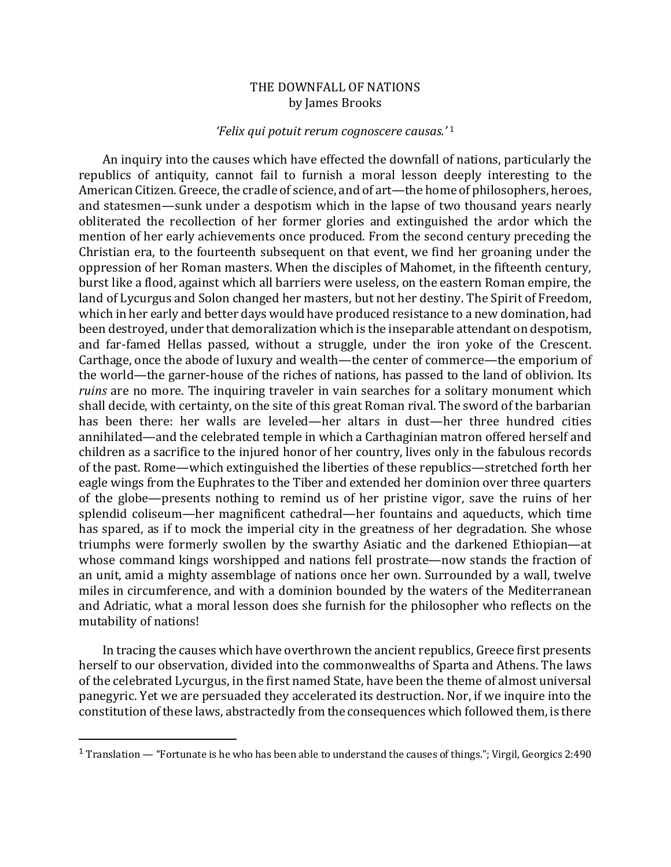## THE DOWNFALL OF NATIONS by James Brooks

## *'Felix qui potuit rerum cognoscere causas.'* <sup>1</sup>

An inquiry into the causes which have effected the downfall of nations, particularly the republics of antiquity, cannot fail to furnish a moral lesson deeply interesting to the American Citizen. Greece, the cradle of science, and of art—the home of philosophers, heroes, and statesmen—sunk under a despotism which in the lapse of two thousand years nearly obliterated the recollection of her former glories and extinguished the ardor which the mention of her early achievements once produced. From the second century preceding the Christian era, to the fourteenth subsequent on that event, we find her groaning under the oppression of her Roman masters. When the disciples of Mahomet, in the fifteenth century, burst like a flood, against which all barriers were useless, on the eastern Roman empire, the land of Lycurgus and Solon changed her masters, but not her destiny. The Spirit of Freedom, which in her early and better days would have produced resistance to a new domination, had been destroyed, under that demoralization which is the inseparable attendant on despotism, and far-famed Hellas passed, without a struggle, under the iron yoke of the Crescent. Carthage, once the abode of luxury and wealth—the center of commerce—the emporium of the world—the garner-house of the riches of nations, has passed to the land of oblivion. Its *ruins* are no more. The inquiring traveler in vain searches for a solitary monument which shall decide, with certainty, on the site of this great Roman rival. The sword of the barbarian has been there: her walls are leveled—her altars in dust—her three hundred cities annihilated—and the celebrated temple in which a Carthaginian matron offered herself and children as a sacrifice to the injured honor of her country, lives only in the fabulous records of the past. Rome—which extinguished the liberties of these republics—stretched forth her eagle wings from the Euphrates to the Tiber and extended her dominion over three quarters of the globe—presents nothing to remind us of her pristine vigor, save the ruins of her splendid coliseum—her magnificent cathedral—her fountains and aqueducts, which time has spared, as if to mock the imperial city in the greatness of her degradation. She whose triumphs were formerly swollen by the swarthy Asiatic and the darkened Ethiopian—at whose command kings worshipped and nations fell prostrate—now stands the fraction of an unit, amid a mighty assemblage of nations once her own. Surrounded by a wall, twelve miles in circumference, and with a dominion bounded by the waters of the Mediterranean and Adriatic, what a moral lesson does she furnish for the philosopher who reflects on the mutability of nations!

In tracing the causes which have overthrown the ancient republics, Greece first presents herself to our observation, divided into the commonwealths of Sparta and Athens. The laws of the celebrated Lycurgus, in the first named State, have been the theme of almost universal panegyric. Yet we are persuaded they accelerated its destruction. Nor, if we inquire into the constitution of these laws, abstractedly from the consequences which followed them, is there

<sup>&</sup>lt;sup>1</sup> Translation — "Fortunate is he who has been able to understand the causes of things."; Virgil, Georgics 2:490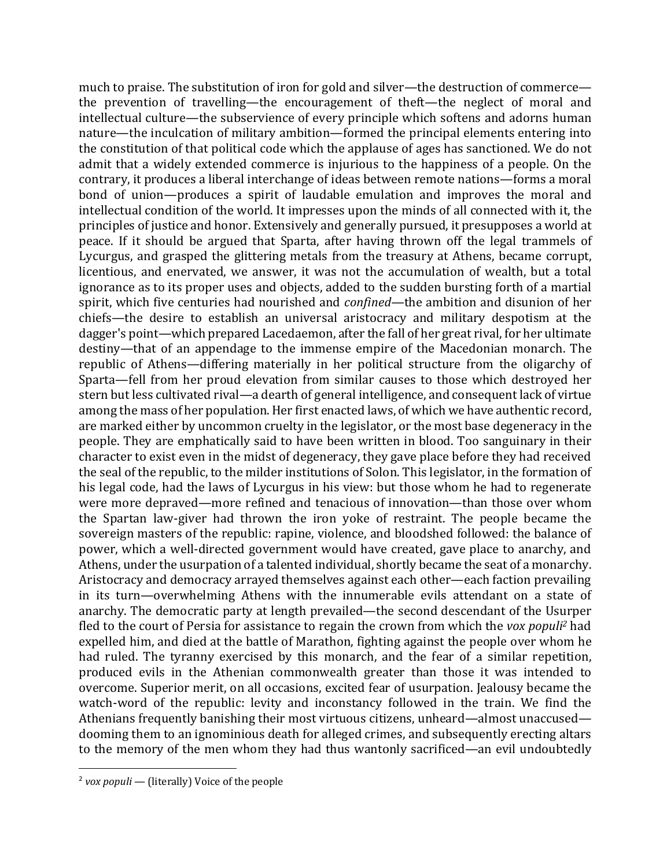much to praise. The substitution of iron for gold and silver—the destruction of commerce the prevention of travelling—the encouragement of theft—the neglect of moral and intellectual culture—the subservience of every principle which softens and adorns human nature—the inculcation of military ambition—formed the principal elements entering into the constitution of that political code which the applause of ages has sanctioned. We do not admit that a widely extended commerce is injurious to the happiness of a people. On the contrary, it produces a liberal interchange of ideas between remote nations—forms a moral bond of union—produces a spirit of laudable emulation and improves the moral and intellectual condition of the world. It impresses upon the minds of all connected with it, the principles of justice and honor. Extensively and generally pursued, it presupposes a world at peace. If it should be argued that Sparta, after having thrown off the legal trammels of Lycurgus, and grasped the glittering metals from the treasury at Athens, became corrupt, licentious, and enervated, we answer, it was not the accumulation of wealth, but a total ignorance as to its proper uses and objects, added to the sudden bursting forth of a martial spirit, which five centuries had nourished and *confined*—the ambition and disunion of her chiefs—the desire to establish an universal aristocracy and military despotism at the dagger's point—which prepared Lacedaemon, after the fall of her great rival, for her ultimate destiny—that of an appendage to the immense empire of the Macedonian monarch. The republic of Athens—differing materially in her political structure from the oligarchy of Sparta—fell from her proud elevation from similar causes to those which destroyed her stern but less cultivated rival—a dearth of general intelligence, and consequent lack of virtue among the mass of her population. Her first enacted laws, of which we have authentic record, are marked either by uncommon cruelty in the legislator, or the most base degeneracy in the people. They are emphatically said to have been written in blood. Too sanguinary in their character to exist even in the midst of degeneracy, they gave place before they had received the seal of the republic, to the milder institutions of Solon. This legislator, in the formation of his legal code, had the laws of Lycurgus in his view: but those whom he had to regenerate were more depraved—more refined and tenacious of innovation—than those over whom the Spartan law-giver had thrown the iron yoke of restraint. The people became the sovereign masters of the republic: rapine, violence, and bloodshed followed: the balance of power, which a well-directed government would have created, gave place to anarchy, and Athens, under the usurpation of a talented individual, shortly became the seat of a monarchy. Aristocracy and democracy arrayed themselves against each other—each faction prevailing in its turn—overwhelming Athens with the innumerable evils attendant on a state of anarchy. The democratic party at length prevailed—the second descendant of the Usurper fled to the court of Persia for assistance to regain the crown from which the *vox populi*<sup>2</sup> had expelled him, and died at the battle of Marathon, fighting against the people over whom he had ruled. The tyranny exercised by this monarch, and the fear of a similar repetition, produced evils in the Athenian commonwealth greater than those it was intended to overcome. Superior merit, on all occasions, excited fear of usurpation, Jealousy became the watch-word of the republic: levity and inconstancy followed in the train. We find the Athenians frequently banishing their most virtuous citizens, unheard—almost unaccused dooming them to an ignominious death for alleged crimes, and subsequently erecting altars to the memory of the men whom they had thus wantonly sacrificed—an evil undoubtedly

 $2$  *vox populi* — (literally) Voice of the people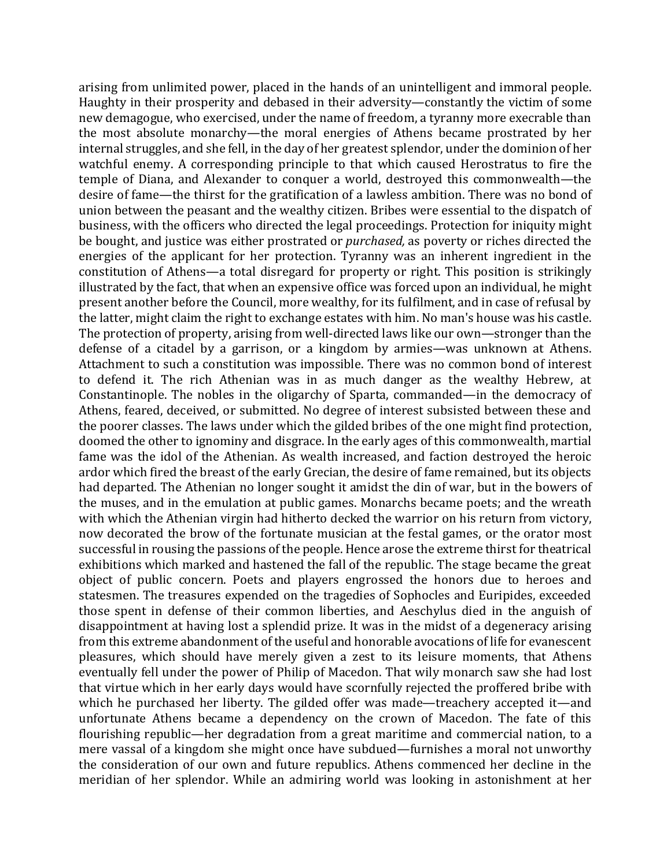arising from unlimited power, placed in the hands of an unintelligent and immoral people. Haughty in their prosperity and debased in their adversity—constantly the victim of some new demagogue, who exercised, under the name of freedom, a tyranny more execrable than the most absolute monarchy—the moral energies of Athens became prostrated by her internal struggles, and she fell, in the day of her greatest splendor, under the dominion of her watchful enemy. A corresponding principle to that which caused Herostratus to fire the temple of Diana, and Alexander to conquer a world, destroyed this commonwealth—the desire of fame—the thirst for the gratification of a lawless ambition. There was no bond of union between the peasant and the wealthy citizen. Bribes were essential to the dispatch of business, with the officers who directed the legal proceedings. Protection for iniquity might be bought, and justice was either prostrated or *purchased*, as poverty or riches directed the energies of the applicant for her protection. Tyranny was an inherent ingredient in the constitution of Athens—a total disregard for property or right. This position is strikingly illustrated by the fact, that when an expensive office was forced upon an individual, he might present another before the Council, more wealthy, for its fulfilment, and in case of refusal by the latter, might claim the right to exchange estates with him. No man's house was his castle. The protection of property, arising from well-directed laws like our own—stronger than the defense of a citadel by a garrison, or a kingdom by armies—was unknown at Athens. Attachment to such a constitution was impossible. There was no common bond of interest to defend it. The rich Athenian was in as much danger as the wealthy Hebrew, at Constantinople. The nobles in the oligarchy of Sparta, commanded—in the democracy of Athens, feared, deceived, or submitted. No degree of interest subsisted between these and the poorer classes. The laws under which the gilded bribes of the one might find protection, doomed the other to ignominy and disgrace. In the early ages of this commonwealth, martial fame was the idol of the Athenian. As wealth increased, and faction destroyed the heroic ardor which fired the breast of the early Grecian, the desire of fame remained, but its objects had departed. The Athenian no longer sought it amidst the din of war, but in the bowers of the muses, and in the emulation at public games. Monarchs became poets; and the wreath with which the Athenian virgin had hitherto decked the warrior on his return from victory, now decorated the brow of the fortunate musician at the festal games, or the orator most successful in rousing the passions of the people. Hence arose the extreme thirst for theatrical exhibitions which marked and hastened the fall of the republic. The stage became the great object of public concern. Poets and players engrossed the honors due to heroes and statesmen. The treasures expended on the tragedies of Sophocles and Euripides, exceeded those spent in defense of their common liberties, and Aeschylus died in the anguish of disappointment at having lost a splendid prize. It was in the midst of a degeneracy arising from this extreme abandonment of the useful and honorable avocations of life for evanescent pleasures, which should have merely given a zest to its leisure moments, that Athens eventually fell under the power of Philip of Macedon. That wily monarch saw she had lost that virtue which in her early days would have scornfully rejected the proffered bribe with which he purchased her liberty. The gilded offer was made—treachery accepted it—and unfortunate Athens became a dependency on the crown of Macedon. The fate of this flourishing republic—her degradation from a great maritime and commercial nation, to a mere vassal of a kingdom she might once have subdued—furnishes a moral not unworthy the consideration of our own and future republics. Athens commenced her decline in the meridian of her splendor. While an admiring world was looking in astonishment at her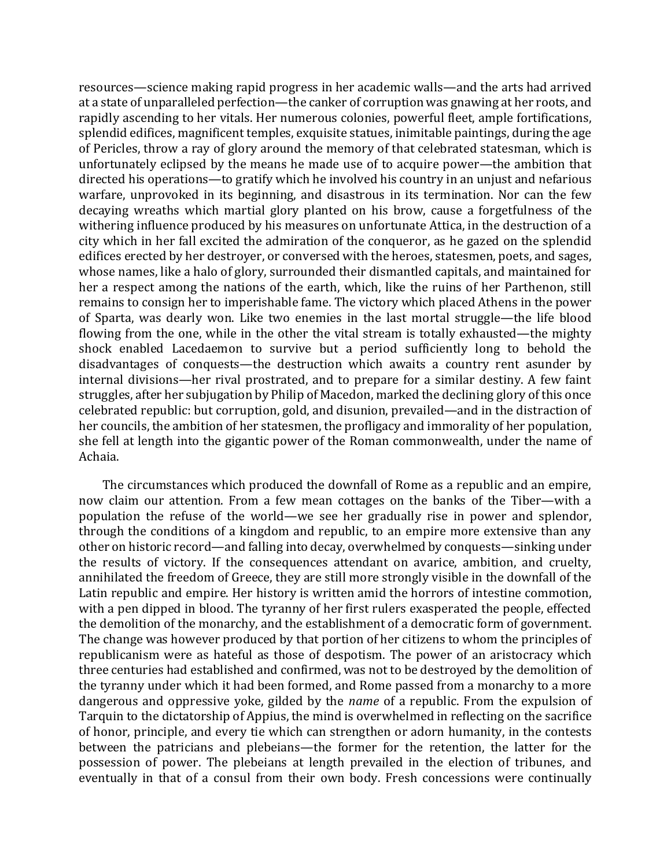resources—science making rapid progress in her academic walls—and the arts had arrived at a state of unparalleled perfection—the canker of corruption was gnawing at her roots, and rapidly ascending to her vitals. Her numerous colonies, powerful fleet, ample fortifications, splendid edifices, magnificent temples, exquisite statues, inimitable paintings, during the age of Pericles, throw a ray of glory around the memory of that celebrated statesman, which is unfortunately eclipsed by the means he made use of to acquire power—the ambition that directed his operations—to gratify which he involved his country in an unjust and nefarious warfare, unprovoked in its beginning, and disastrous in its termination. Nor can the few decaying wreaths which martial glory planted on his brow, cause a forgetfulness of the withering influence produced by his measures on unfortunate Attica, in the destruction of a city which in her fall excited the admiration of the conqueror, as he gazed on the splendid edifices erected by her destroyer, or conversed with the heroes, statesmen, poets, and sages, whose names, like a halo of glory, surrounded their dismantled capitals, and maintained for her a respect among the nations of the earth, which, like the ruins of her Parthenon, still remains to consign her to imperishable fame. The victory which placed Athens in the power of Sparta, was dearly won. Like two enemies in the last mortal struggle—the life blood flowing from the one, while in the other the vital stream is totally exhausted—the mighty shock enabled Lacedaemon to survive but a period sufficiently long to behold the disadvantages of conquests—the destruction which awaits a country rent asunder by internal divisions—her rival prostrated, and to prepare for a similar destiny. A few faint struggles, after her subjugation by Philip of Macedon, marked the declining glory of this once celebrated republic: but corruption, gold, and disunion, prevailed—and in the distraction of her councils, the ambition of her statesmen, the profligacy and immorality of her population, she fell at length into the gigantic power of the Roman commonwealth, under the name of Achaia.

The circumstances which produced the downfall of Rome as a republic and an empire, now claim our attention. From a few mean cottages on the banks of the Tiber—with a population the refuse of the world—we see her gradually rise in power and splendor, through the conditions of a kingdom and republic, to an empire more extensive than any other on historic record—and falling into decay, overwhelmed by conquests—sinking under the results of victory. If the consequences attendant on avarice, ambition, and cruelty, annihilated the freedom of Greece, they are still more strongly visible in the downfall of the Latin republic and empire. Her history is written amid the horrors of intestine commotion, with a pen dipped in blood. The tyranny of her first rulers exasperated the people, effected the demolition of the monarchy, and the establishment of a democratic form of government. The change was however produced by that portion of her citizens to whom the principles of republicanism were as hateful as those of despotism. The power of an aristocracy which three centuries had established and confirmed, was not to be destroyed by the demolition of the tyranny under which it had been formed, and Rome passed from a monarchy to a more dangerous and oppressive yoke, gilded by the *name* of a republic. From the expulsion of Tarquin to the dictatorship of Appius, the mind is overwhelmed in reflecting on the sacrifice of honor, principle, and every tie which can strengthen or adorn humanity, in the contests between the patricians and plebeians—the former for the retention, the latter for the possession of power. The plebeians at length prevailed in the election of tribunes, and eventually in that of a consul from their own body. Fresh concessions were continually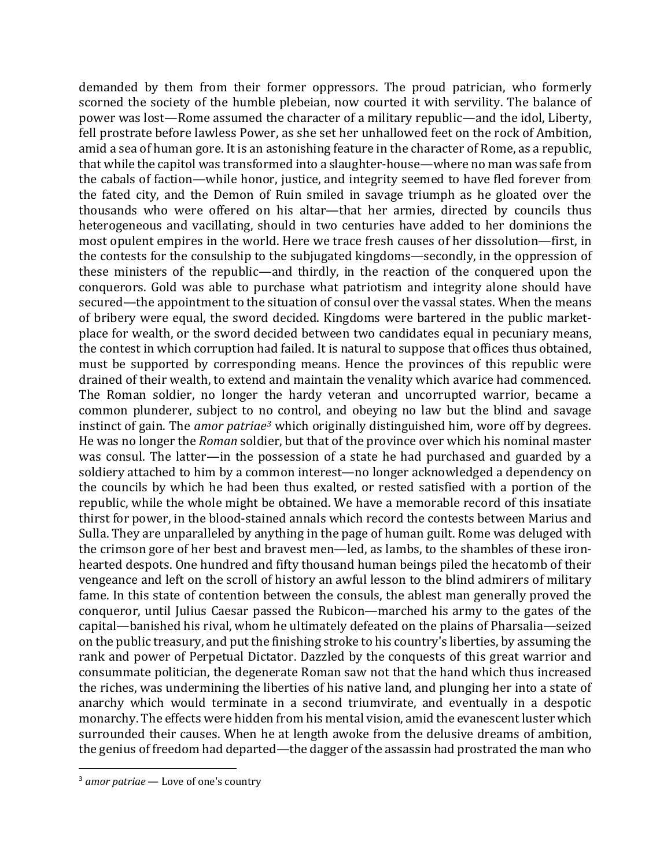demanded by them from their former oppressors. The proud patrician, who formerly scorned the society of the humble plebeian, now courted it with servility. The balance of power was lost—Rome assumed the character of a military republic—and the idol, Liberty, fell prostrate before lawless Power, as she set her unhallowed feet on the rock of Ambition, amid a sea of human gore. It is an astonishing feature in the character of Rome, as a republic, that while the capitol was transformed into a slaughter-house—where no man was safe from the cabals of faction—while honor, justice, and integrity seemed to have fled forever from the fated city, and the Demon of Ruin smiled in savage triumph as he gloated over the thousands who were offered on his altar—that her armies, directed by councils thus heterogeneous and vacillating, should in two centuries have added to her dominions the most opulent empires in the world. Here we trace fresh causes of her dissolution—first, in the contests for the consulship to the subjugated kingdoms—secondly, in the oppression of these ministers of the republic—and thirdly, in the reaction of the conquered upon the conquerors. Gold was able to purchase what patriotism and integrity alone should have secured—the appointment to the situation of consul over the vassal states. When the means of bribery were equal, the sword decided. Kingdoms were bartered in the public marketplace for wealth, or the sword decided between two candidates equal in pecuniary means, the contest in which corruption had failed. It is natural to suppose that offices thus obtained, must be supported by corresponding means. Hence the provinces of this republic were drained of their wealth, to extend and maintain the venality which avarice had commenced. The Roman soldier, no longer the hardy veteran and uncorrupted warrior, became a common plunderer, subject to no control, and obeying no law but the blind and savage instinct of gain. The *amor patriae<sup>3</sup>* which originally distinguished him, wore off by degrees. He was no longer the *Roman* soldier, but that of the province over which his nominal master was consul. The latter—in the possession of a state he had purchased and guarded by a soldiery attached to him by a common interest—no longer acknowledged a dependency on the councils by which he had been thus exalted, or rested satisfied with a portion of the republic, while the whole might be obtained. We have a memorable record of this insatiate thirst for power, in the blood-stained annals which record the contests between Marius and Sulla. They are unparalleled by anything in the page of human guilt. Rome was deluged with the crimson gore of her best and bravest men—led, as lambs, to the shambles of these ironhearted despots. One hundred and fifty thousand human beings piled the hecatomb of their vengeance and left on the scroll of history an awful lesson to the blind admirers of military fame. In this state of contention between the consuls, the ablest man generally proved the conqueror, until Julius Caesar passed the Rubicon—marched his army to the gates of the capital—banished his rival, whom he ultimately defeated on the plains of Pharsalia—seized on the public treasury, and put the finishing stroke to his country's liberties, by assuming the rank and power of Perpetual Dictator. Dazzled by the conquests of this great warrior and consummate politician, the degenerate Roman saw not that the hand which thus increased the riches, was undermining the liberties of his native land, and plunging her into a state of anarchy which would terminate in a second triumvirate, and eventually in a despotic monarchy. The effects were hidden from his mental vision, amid the evanescent luster which surrounded their causes. When he at length awoke from the delusive dreams of ambition, the genius of freedom had departed—the dagger of the assassin had prostrated the man who

<sup>&</sup>lt;sup>3</sup> amor patriae – Love of one's country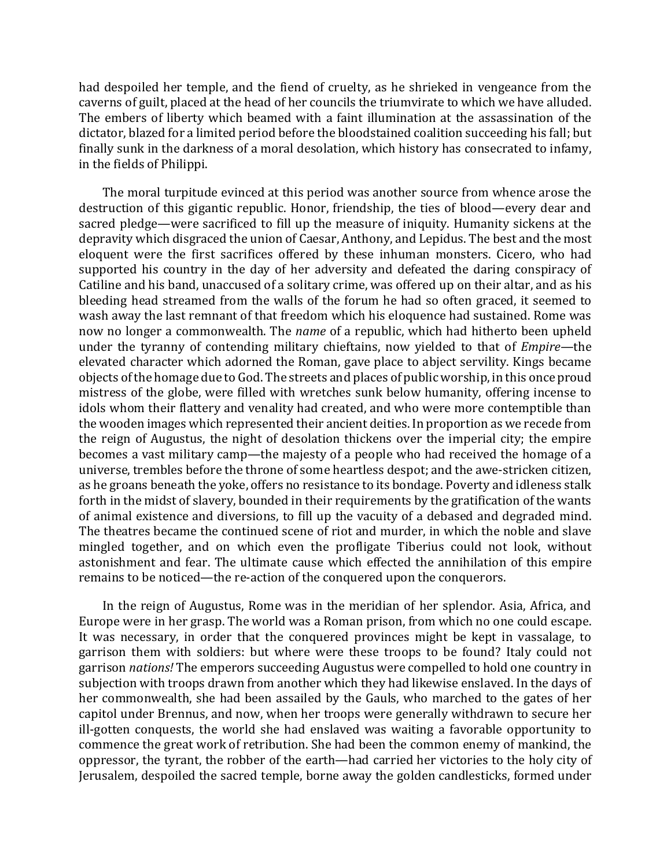had despoiled her temple, and the fiend of cruelty, as he shrieked in vengeance from the caverns of guilt, placed at the head of her councils the triumvirate to which we have alluded. The embers of liberty which beamed with a faint illumination at the assassination of the dictator, blazed for a limited period before the bloodstained coalition succeeding his fall; but finally sunk in the darkness of a moral desolation, which history has consecrated to infamy, in the fields of Philippi.

The moral turpitude evinced at this period was another source from whence arose the destruction of this gigantic republic. Honor, friendship, the ties of blood—every dear and sacred pledge—were sacrificed to fill up the measure of iniquity. Humanity sickens at the depravity which disgraced the union of Caesar, Anthony, and Lepidus. The best and the most eloquent were the first sacrifices offered by these inhuman monsters. Cicero, who had supported his country in the day of her adversity and defeated the daring conspiracy of Catiline and his band, unaccused of a solitary crime, was offered up on their altar, and as his bleeding head streamed from the walls of the forum he had so often graced, it seemed to wash away the last remnant of that freedom which his eloquence had sustained. Rome was now no longer a commonwealth. The *name* of a republic, which had hitherto been upheld under the tyranny of contending military chieftains, now yielded to that of *Empire*—the elevated character which adorned the Roman, gave place to abject servility. Kings became objects of the homage due to God. The streets and places of public worship, in this once proud mistress of the globe, were filled with wretches sunk below humanity, offering incense to idols whom their flattery and venality had created, and who were more contemptible than the wooden images which represented their ancient deities. In proportion as we recede from the reign of Augustus, the night of desolation thickens over the imperial city; the empire becomes a vast military camp—the majesty of a people who had received the homage of a universe, trembles before the throne of some heartless despot; and the awe-stricken citizen, as he groans beneath the yoke, offers no resistance to its bondage. Poverty and idleness stalk forth in the midst of slavery, bounded in their requirements by the gratification of the wants of animal existence and diversions, to fill up the vacuity of a debased and degraded mind. The theatres became the continued scene of riot and murder, in which the noble and slave mingled together, and on which even the profligate Tiberius could not look, without astonishment and fear. The ultimate cause which effected the annihilation of this empire remains to be noticed—the re-action of the conquered upon the conquerors.

In the reign of Augustus, Rome was in the meridian of her splendor. Asia, Africa, and Europe were in her grasp. The world was a Roman prison, from which no one could escape. It was necessary, in order that the conquered provinces might be kept in vassalage, to garrison them with soldiers: but where were these troops to be found? Italy could not garrison *nations!* The emperors succeeding Augustus were compelled to hold one country in subjection with troops drawn from another which they had likewise enslaved. In the days of her commonwealth, she had been assailed by the Gauls, who marched to the gates of her capitol under Brennus, and now, when her troops were generally withdrawn to secure her ill-gotten conquests, the world she had enslaved was waiting a favorable opportunity to commence the great work of retribution. She had been the common enemy of mankind, the oppressor, the tyrant, the robber of the earth—had carried her victories to the holy city of Jerusalem, despoiled the sacred temple, borne away the golden candlesticks, formed under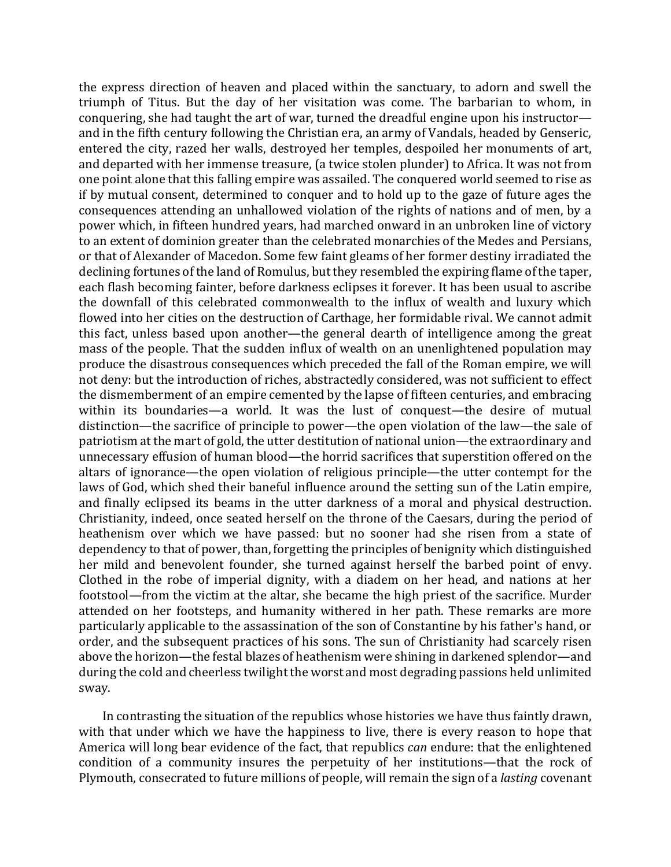the express direction of heaven and placed within the sanctuary, to adorn and swell the triumph of Titus. But the day of her visitation was come. The barbarian to whom, in conquering, she had taught the art of war, turned the dreadful engine upon his instructor and in the fifth century following the Christian era, an army of Vandals, headed by Genseric, entered the city, razed her walls, destroyed her temples, despoiled her monuments of art, and departed with her immense treasure, (a twice stolen plunder) to Africa. It was not from one point alone that this falling empire was assailed. The conquered world seemed to rise as if by mutual consent, determined to conquer and to hold up to the gaze of future ages the consequences attending an unhallowed violation of the rights of nations and of men, by a power which, in fifteen hundred years, had marched onward in an unbroken line of victory to an extent of dominion greater than the celebrated monarchies of the Medes and Persians, or that of Alexander of Macedon. Some few faint gleams of her former destiny irradiated the declining fortunes of the land of Romulus, but they resembled the expiring flame of the taper, each flash becoming fainter, before darkness eclipses it forever. It has been usual to ascribe the downfall of this celebrated commonwealth to the influx of wealth and luxury which flowed into her cities on the destruction of Carthage, her formidable rival. We cannot admit this fact, unless based upon another—the general dearth of intelligence among the great mass of the people. That the sudden influx of wealth on an unenlightened population may produce the disastrous consequences which preceded the fall of the Roman empire, we will not deny: but the introduction of riches, abstractedly considered, was not sufficient to effect the dismemberment of an empire cemented by the lapse of fifteen centuries, and embracing within its boundaries—a world. It was the lust of conquest—the desire of mutual distinction—the sacrifice of principle to power—the open violation of the law—the sale of patriotism at the mart of gold, the utter destitution of national union—the extraordinary and unnecessary effusion of human blood—the horrid sacrifices that superstition offered on the altars of ignorance—the open violation of religious principle—the utter contempt for the laws of God, which shed their baneful influence around the setting sun of the Latin empire, and finally eclipsed its beams in the utter darkness of a moral and physical destruction. Christianity, indeed, once seated herself on the throne of the Caesars, during the period of heathenism over which we have passed: but no sooner had she risen from a state of dependency to that of power, than, forgetting the principles of benignity which distinguished her mild and benevolent founder, she turned against herself the barbed point of envy. Clothed in the robe of imperial dignity, with a diadem on her head, and nations at her footstool—from the victim at the altar, she became the high priest of the sacrifice. Murder attended on her footsteps, and humanity withered in her path. These remarks are more particularly applicable to the assassination of the son of Constantine by his father's hand, or order, and the subsequent practices of his sons. The sun of Christianity had scarcely risen above the horizon—the festal blazes of heathenism were shining in darkened splendor—and during the cold and cheerless twilight the worst and most degrading passions held unlimited sway.

In contrasting the situation of the republics whose histories we have thus faintly drawn, with that under which we have the happiness to live, there is every reason to hope that America will long bear evidence of the fact, that republics *can* endure: that the enlightened condition of a community insures the perpetuity of her institutions—that the rock of Plymouth, consecrated to future millions of people, will remain the sign of a *lasting* covenant